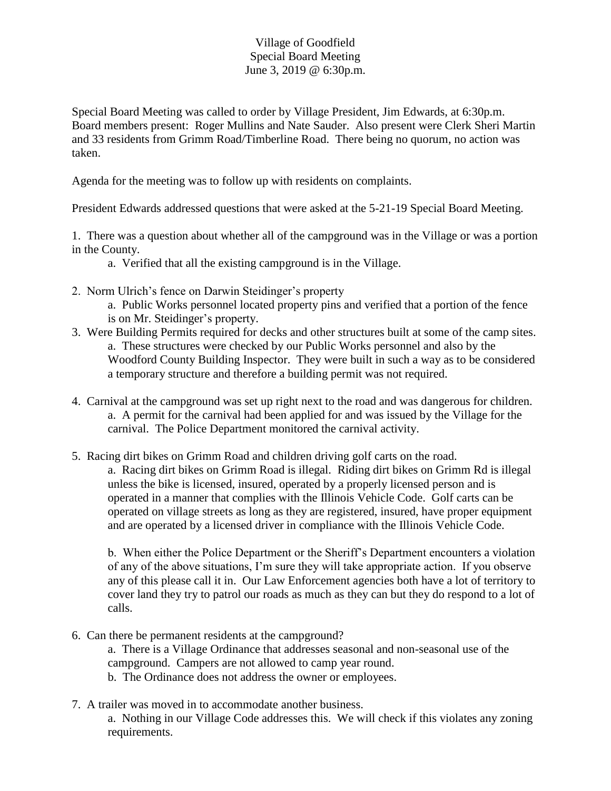## Village of Goodfield Special Board Meeting June 3, 2019 @ 6:30p.m.

Special Board Meeting was called to order by Village President, Jim Edwards, at 6:30p.m. Board members present: Roger Mullins and Nate Sauder. Also present were Clerk Sheri Martin and 33 residents from Grimm Road/Timberline Road. There being no quorum, no action was taken.

Agenda for the meeting was to follow up with residents on complaints.

President Edwards addressed questions that were asked at the 5-21-19 Special Board Meeting.

1. There was a question about whether all of the campground was in the Village or was a portion in the County.

a. Verified that all the existing campground is in the Village.

- 2. Norm Ulrich's fence on Darwin Steidinger's property
	- a. Public Works personnel located property pins and verified that a portion of the fence is on Mr. Steidinger's property.
- 3. Were Building Permits required for decks and other structures built at some of the camp sites. a. These structures were checked by our Public Works personnel and also by the Woodford County Building Inspector. They were built in such a way as to be considered a temporary structure and therefore a building permit was not required.
- 4. Carnival at the campground was set up right next to the road and was dangerous for children. a. A permit for the carnival had been applied for and was issued by the Village for the carnival. The Police Department monitored the carnival activity.
- 5. Racing dirt bikes on Grimm Road and children driving golf carts on the road. a. Racing dirt bikes on Grimm Road is illegal. Riding dirt bikes on Grimm Rd is illegal unless the bike is licensed, insured, operated by a properly licensed person and is operated in a manner that complies with the Illinois Vehicle Code. Golf carts can be operated on village streets as long as they are registered, insured, have proper equipment and are operated by a licensed driver in compliance with the Illinois Vehicle Code.

b. When either the Police Department or the Sheriff's Department encounters a violation of any of the above situations, I'm sure they will take appropriate action. If you observe any of this please call it in. Our Law Enforcement agencies both have a lot of territory to cover land they try to patrol our roads as much as they can but they do respond to a lot of calls.

6. Can there be permanent residents at the campground?

a. There is a Village Ordinance that addresses seasonal and non-seasonal use of the campground. Campers are not allowed to camp year round.

- b. The Ordinance does not address the owner or employees.
- 7. A trailer was moved in to accommodate another business.

a. Nothing in our Village Code addresses this. We will check if this violates any zoning requirements.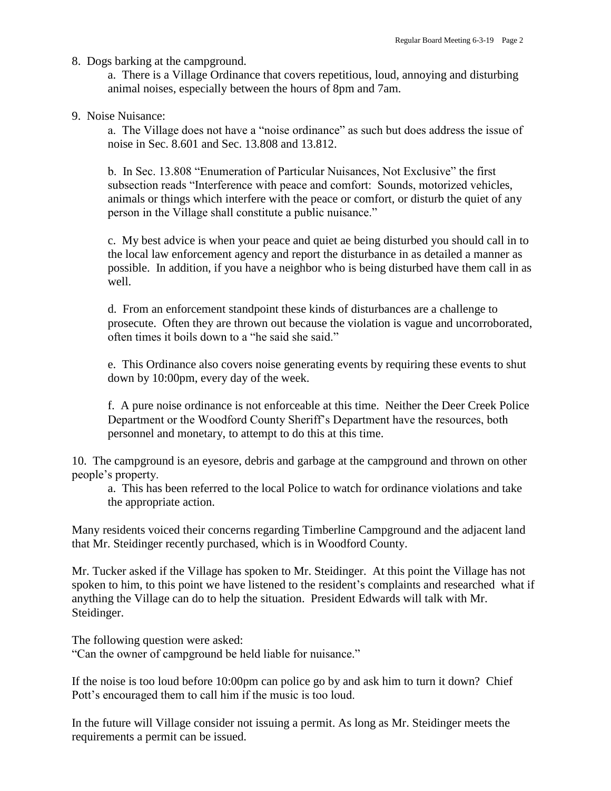8. Dogs barking at the campground.

a. There is a Village Ordinance that covers repetitious, loud, annoying and disturbing animal noises, especially between the hours of 8pm and 7am.

9. Noise Nuisance:

a. The Village does not have a "noise ordinance" as such but does address the issue of noise in Sec. 8.601 and Sec. 13.808 and 13.812.

b. In Sec. 13.808 "Enumeration of Particular Nuisances, Not Exclusive" the first subsection reads "Interference with peace and comfort: Sounds, motorized vehicles, animals or things which interfere with the peace or comfort, or disturb the quiet of any person in the Village shall constitute a public nuisance."

c. My best advice is when your peace and quiet ae being disturbed you should call in to the local law enforcement agency and report the disturbance in as detailed a manner as possible. In addition, if you have a neighbor who is being disturbed have them call in as well.

d. From an enforcement standpoint these kinds of disturbances are a challenge to prosecute. Often they are thrown out because the violation is vague and uncorroborated, often times it boils down to a "he said she said."

e. This Ordinance also covers noise generating events by requiring these events to shut down by 10:00pm, every day of the week.

f. A pure noise ordinance is not enforceable at this time. Neither the Deer Creek Police Department or the Woodford County Sheriff's Department have the resources, both personnel and monetary, to attempt to do this at this time.

10. The campground is an eyesore, debris and garbage at the campground and thrown on other people's property.

a. This has been referred to the local Police to watch for ordinance violations and take the appropriate action.

Many residents voiced their concerns regarding Timberline Campground and the adjacent land that Mr. Steidinger recently purchased, which is in Woodford County.

Mr. Tucker asked if the Village has spoken to Mr. Steidinger. At this point the Village has not spoken to him, to this point we have listened to the resident's complaints and researched what if anything the Village can do to help the situation. President Edwards will talk with Mr. Steidinger.

The following question were asked: "Can the owner of campground be held liable for nuisance."

If the noise is too loud before 10:00pm can police go by and ask him to turn it down? Chief Pott's encouraged them to call him if the music is too loud.

In the future will Village consider not issuing a permit. As long as Mr. Steidinger meets the requirements a permit can be issued.